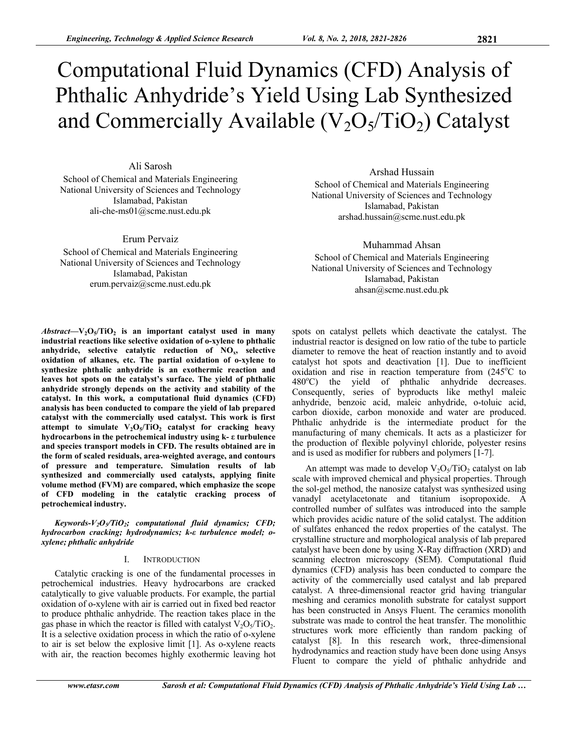# Computational Fluid Dynamics (CFD) Analysis of Phthalic Anhydride's Yield Using Lab Synthesized

# and Commercially Available  $(V_2O_5/TiO_2)$  Catalyst

Ali Sarosh School of Chemical and Materials Engineering National University of Sciences and Technology Islamabad, Pakistan ali-che-ms01@scme.nust.edu.pk

Erum Pervaiz School of Chemical and Materials Engineering National University of Sciences and Technology Islamabad, Pakistan erum.pervaiz@scme.nust.edu.pk

 $Abstract - V_2O_5/TiO_2$  is an important catalyst used in many **industrial reactions like selective oxidation of o-xylene to phthalic**  anhydride, selective catalytic reduction of NO<sub>x</sub>, selective **oxidation of alkanes, etc. The partial oxidation of o-xylene to synthesize phthalic anhydride is an exothermic reaction and leaves hot spots on the catalyst's surface. The yield of phthalic anhydride strongly depends on the activity and stability of the catalyst. In this work, a computational fluid dynamics (CFD) analysis has been conducted to compare the yield of lab prepared catalyst with the commercially used catalyst. This work is first**  attempt to simulate  $V_2O_5/TiO_2$  catalyst for cracking heavy **hydrocarbons in the petrochemical industry using k- ε turbulence and species transport models in CFD. The results obtained are in the form of scaled residuals, area-weighted average, and contours of pressure and temperature. Simulation results of lab synthesized and commercially used catalysts, applying finite volume method (FVM) are compared, which emphasize the scope of CFD modeling in the catalytic cracking process of petrochemical industry.** 

Keywords-V<sub>2</sub>O<sub>5</sub>/TiO<sub>2</sub>; computational fluid dynamics; CFD; *hydrocarbon cracking; hydrodynamics; k-ε turbulence model; oxylene; phthalic anhydride* 

# I. INTRODUCTION

Catalytic cracking is one of the fundamental processes in petrochemical industries. Heavy hydrocarbons are cracked catalytically to give valuable products. For example, the partial oxidation of o-xylene with air is carried out in fixed bed reactor to produce phthalic anhydride. The reaction takes place in the gas phase in which the reactor is filled with catalyst  $V_2O<sub>5</sub>/TiO<sub>2</sub>$ . It is a selective oxidation process in which the ratio of o-xylene to air is set below the explosive limit [1]. As o-xylene reacts with air, the reaction becomes highly exothermic leaving hot

Arshad Hussain School of Chemical and Materials Engineering National University of Sciences and Technology Islamabad, Pakistan arshad.hussain@scme.nust.edu.pk

Muhammad Ahsan School of Chemical and Materials Engineering National University of Sciences and Technology Islamabad, Pakistan ahsan@scme.nust.edu.pk

spots on catalyst pellets which deactivate the catalyst. The industrial reactor is designed on low ratio of the tube to particle diameter to remove the heat of reaction instantly and to avoid catalyst hot spots and deactivation [1]. Due to inefficient oxidation and rise in reaction temperature from  $(245^{\circ}C)$  to  $480^{\circ}$ C) the yield of phthalic anhydride decreases. Consequently, series of byproducts like methyl maleic anhydride, benzoic acid, maleic anhydride, o-toluic acid, carbon dioxide, carbon monoxide and water are produced. Phthalic anhydride is the intermediate product for the manufacturing of many chemicals. It acts as a plasticizer for the production of flexible polyvinyl chloride, polyester resins and is used as modifier for rubbers and polymers [1-7].

An attempt was made to develop  $V_2O_5/TiO_2$  catalyst on lab scale with improved chemical and physical properties. Through the sol-gel method, the nanosize catalyst was synthesized using vanadyl acetylacetonate and titanium isopropoxide. A controlled number of sulfates was introduced into the sample which provides acidic nature of the solid catalyst. The addition of sulfates enhanced the redox properties of the catalyst. The crystalline structure and morphological analysis of lab prepared catalyst have been done by using X-Ray diffraction (XRD) and scanning electron microscopy (SEM). Computational fluid dynamics (CFD) analysis has been conducted to compare the activity of the commercially used catalyst and lab prepared catalyst. A three-dimensional reactor grid having triangular meshing and ceramics monolith substrate for catalyst support has been constructed in Ansys Fluent. The ceramics monolith substrate was made to control the heat transfer. The monolithic structures work more efficiently than random packing of catalyst [8]. In this research work, three-dimensional hydrodynamics and reaction study have been done using Ansys Fluent to compare the yield of phthalic anhydride and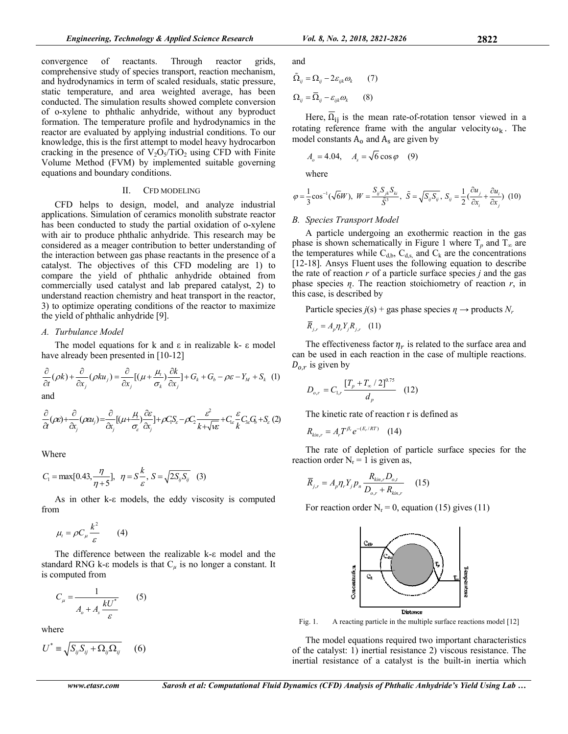convergence of reactants. Through reactor grids, comprehensive study of species transport, reaction mechanism, and hydrodynamics in term of scaled residuals, static pressure, static temperature, and area weighted average, has been conducted. The simulation results showed complete conversion of o-xylene to phthalic anhydride, without any byproduct formation. The temperature profile and hydrodynamics in the reactor are evaluated by applying industrial conditions. To our knowledge, this is the first attempt to model heavy hydrocarbon cracking in the presence of  $V_2O_5/TiO_2$  using CFD with Finite Volume Method (FVM) by implemented suitable governing equations and boundary conditions.

#### II. CFD MODELING

CFD helps to design, model, and analyze industrial applications. Simulation of ceramics monolith substrate reactor has been conducted to study the partial oxidation of o-xylene with air to produce phthalic anhydride. This research may be considered as a meager contribution to better understanding of the interaction between gas phase reactants in the presence of a catalyst. The objectives of this CFD modeling are 1) to compare the yield of phthalic anhydride obtained from commercially used catalyst and lab prepared catalyst, 2) to understand reaction chemistry and heat transport in the reactor, 3) to optimize operating conditions of the reactor to maximize the yield of phthalic anhydride [9].

#### *A. Turbulance Model*

The model equations for k and  $ε$  in realizable k- $ε$  model have already been presented in [10-12]

$$
\frac{\partial}{\partial t}(\rho k) + \frac{\partial}{\partial x_j}(\rho k u_j) = \frac{\partial}{\partial x_j} [(\mu + \frac{\mu_t}{\sigma_k}) \frac{\partial k}{\partial x_j}] + G_k + G_b - \rho \varepsilon - Y_M + S_k \quad (1)
$$
\nand

$$
\frac{\partial}{\partial t}(\rho\epsilon) + \frac{\partial}{\partial x_j}(\rho\epsilon u_j) = \frac{\partial}{\partial x_j} [(\mu + \frac{\mu}{\sigma_{\varepsilon}}) \frac{\partial \epsilon}{\partial x_j}] + \rho C_i S_{\varepsilon} - \rho C_j \frac{\epsilon^2}{k + \sqrt{k\epsilon}} + C_{1\varepsilon} \frac{\epsilon}{k} C_{3\varepsilon} G_{\varepsilon} + S_{\varepsilon} (2)
$$

Where

$$
C_1 = \max[0.43, \frac{\eta}{\eta + 5}], \ \ \eta = S\frac{k}{\varepsilon}, \ S = \sqrt{2S_{ij}S_{ij}} \ \ (3)
$$

As in other k-ε models, the eddy viscosity is computed from

$$
\mu_t = \rho C_\mu \frac{k^2}{\varepsilon} \qquad (4)
$$

The difference between the realizable k-ε model and the standard RNG k- $\varepsilon$  models is that  $C_\mu$  is no longer a constant. It is computed from

$$
C_{\mu} = \frac{1}{A_o + A_s \frac{kU^*}{\varepsilon}} \qquad (5)
$$

where

$$
U^* = \sqrt{S_{ij}S_{ij} + \Omega_{ij}\Omega_{ij}} \qquad (6)
$$

and

$$
\tilde{\Omega}_{ij} = \Omega_{ij} - 2\varepsilon_{ijk}\omega_k \qquad (7)
$$

$$
\Omega_{ij} = \overline{\Omega}_{ij} - \varepsilon_{ijk}\omega_k \qquad (8)
$$

Here,  $\Omega_{ij}$  is the mean rate-of-rotation tensor viewed in a rotating reference frame with the angular velocity  $\omega_{\mathbf{k}}$ . The model constants  $A_0$  and  $A_s$  are given by

$$
A_o = 4.04, \quad A_s = \sqrt{6} \cos \varphi \quad (9)
$$

where

$$
\varphi = \frac{1}{3}\cos^{-1}(\sqrt{6}W), \ W = \frac{S_{ij}S_{jk}S_{ki}}{\tilde{S}^3}, \ \tilde{S} = \sqrt{S_{ij}S_{ij}}, \ S_{ij} = \frac{1}{2}(\frac{\partial u_j}{\partial x_i} + \frac{\partial u_i}{\partial x_j}) \ (10)
$$

# *B. Species Transport Model*

A particle undergoing an exothermic reaction in the gas phase is shown schematically in Figure 1 where  $T_p$  and  $T_\infty$  are the temperatures while  $C_{d,b}$ ,  $C_{d,s}$ , and  $C_k$  are the concentrations [12-18]. Ansys Fluent uses the following equation to describe the rate of reaction *r* of a particle surface species *j* and the gas phase species *ɳ*. The reaction stoichiometry of reaction *r*, in this case, is described by

Particle species  $j(s)$  + gas phase species  $\eta \rightarrow$  products  $N_r$ 

$$
\overline{R}_{j,r} = A_p \eta_r Y_j R_{j,r} \quad (11)
$$

The effectiveness factor  $\eta_r$  is related to the surface area and can be used in each reaction in the case of multiple reactions.  $D_{o,r}$  is given by

$$
D_{o,r} = C_{1,r} \frac{\left[T_p + T_{\infty} / 2\right]^{0.75}}{d_p} \quad (12)
$$

The kinetic rate of reaction r is defined as

$$
R_{kin,r}=A_rT^{\beta_r}e^{-(E_r/RT)}\quad(14)
$$

The rate of depletion of particle surface species for the reaction order  $N_r = 1$  is given as,

$$
\overline{R}_{j,r} = A_p \eta_r Y_j p_n \frac{R_{kin,r} D_{o,t}}{D_{o,r} + R_{kin,r}} \qquad (15)
$$

For reaction order  $N_r = 0$ , equation (15) gives (11)



Fig. 1. A reacting particle in the multiple surface reactions model [12]

The model equations required two important characteristics of the catalyst: 1) inertial resistance 2) viscous resistance. The inertial resistance of a catalyst is the built-in inertia which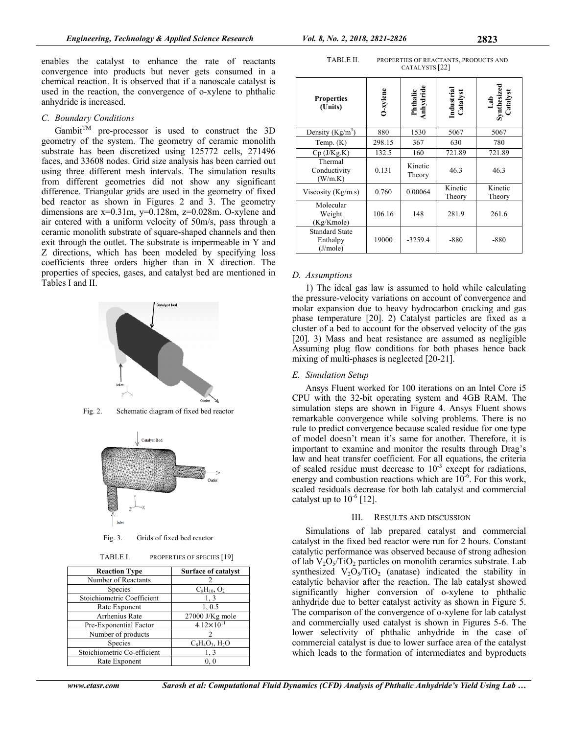enables the catalyst to enhance the rate of reactants convergence into products but never gets consumed in a chemical reaction. It is observed that if a nanoscale catalyst is used in the reaction, the convergence of o-xylene to phthalic anhydride is increased.

# *C. Boundary Conditions*

Gambit<sup>TM</sup> pre-processor is used to construct the 3D geometry of the system. The geometry of ceramic monolith substrate has been discretized using 125772 cells, 271496 faces, and 33608 nodes. Grid size analysis has been carried out using three different mesh intervals. The simulation results from different geometries did not show any significant difference. Triangular grids are used in the geometry of fixed bed reactor as shown in Figures 2 and 3. The geometry dimensions are  $x=0.31m$ ,  $y=0.128m$ ,  $z=0.028m$ . O-xylene and air entered with a uniform velocity of 50m/s, pass through a ceramic monolith substrate of square-shaped channels and then exit through the outlet. The substrate is impermeable in Y and Z directions, which has been modeled by specifying loss coefficients three orders higher than in X direction. The properties of species, gases, and catalyst bed are mentioned in Tables I and II.





Fig. 3. Grids of fixed bed reactor

| TABLE I. | PROPERTIES OF SPECIES [19] |  |
|----------|----------------------------|--|
|----------|----------------------------|--|

| <b>Reaction Type</b>        | <b>Surface of catalyst</b> |  |
|-----------------------------|----------------------------|--|
| Number of Reactants         |                            |  |
| Species                     | $C_8H_{10}$ , $O_2$        |  |
| Stoichiometric Coefficient  | 1, 3                       |  |
| Rate Exponent               | 1, 0.5                     |  |
| Arrhenius Rate              | $27000$ J/Kg mole          |  |
| Pre-Exponential Factor      | $4.12\times10^{11}$        |  |
| Number of products          |                            |  |
| Species                     | $C_8H_4O_3$ , $H_2O$       |  |
| Stoichiometric Co-efficient | 1, 3                       |  |
| Rate Exponent               | 0.0                        |  |

| TABLE II. | PROPERTIES OF REACTANTS, PRODUCTS AND |
|-----------|---------------------------------------|
|           | CATALYSTS <sup>[22]</sup>             |

| <b>Properties</b><br>(Units)                  | $J$ -xylene | Phthalic<br>Anhydride | Industrial<br>Catalyst | Lab<br>Synthesized<br>Catalyst |
|-----------------------------------------------|-------------|-----------------------|------------------------|--------------------------------|
| Density $(Kg/m^3)$                            | 880         | 1530                  | 5067                   | 5067                           |
| Temp. $(K)$                                   | 298.15      | 367                   | 630                    | 780                            |
| $Cp$ (J/Kg.K)                                 | 132.5       | 160                   | 721.89                 | 721.89                         |
| Thermal<br>Conductivity<br>(W/m.K)            | 0.131       | Kinetic<br>Theory     | 46.3                   | 46.3                           |
| Viscosity ( $Kg/m.s$ )                        | 0.760       | 0.00064               | Kinetic<br>Theory      | Kinetic<br>Theory              |
| Molecular<br>Weight<br>(Kg/Kmole)             | 106.16      | 148                   | 281.9                  | 261.6                          |
| <b>Standard State</b><br>Enthalpy<br>(J/mole) | 19000       | $-3259.4$             | $-880$                 | $-880$                         |

# *D. Assumptions*

1) The ideal gas law is assumed to hold while calculating the pressure-velocity variations on account of convergence and molar expansion due to heavy hydrocarbon cracking and gas phase temperature [20]. 2) Catalyst particles are fixed as a cluster of a bed to account for the observed velocity of the gas [20]. 3) Mass and heat resistance are assumed as negligible Assuming plug flow conditions for both phases hence back mixing of multi-phases is neglected [20-21].

# *E. Simulation Setup*

Ansys Fluent worked for 100 iterations on an Intel Core i5 CPU with the 32-bit operating system and 4GB RAM. The simulation steps are shown in Figure 4. Ansys Fluent shows remarkable convergence while solving problems. There is no rule to predict convergence because scaled residue for one type of model doesn't mean it's same for another. Therefore, it is important to examine and monitor the results through Drag's law and heat transfer coefficient. For all equations, the criteria of scaled residue must decrease to  $10^{-3}$  except for radiations, energy and combustion reactions which are  $10^{-6}$ . For this work, scaled residuals decrease for both lab catalyst and commercial catalyst up to  $10^{-6}$  [12].

### III. RESULTS AND DISCUSSION

Simulations of lab prepared catalyst and commercial catalyst in the fixed bed reactor were run for 2 hours. Constant catalytic performance was observed because of strong adhesion of lab  $V_2O_5/TiO_2$  particles on monolith ceramics substrate. Lab synthesized  $V_2O_5/TiO_2$  (anatase) indicated the stability in catalytic behavior after the reaction. The lab catalyst showed significantly higher conversion of o-xylene to phthalic anhydride due to better catalyst activity as shown in Figure 5. The comparison of the convergence of o-xylene for lab catalyst and commercially used catalyst is shown in Figures 5-6. The lower selectivity of phthalic anhydride in the case of commercial catalyst is due to lower surface area of the catalyst which leads to the formation of intermediates and byproducts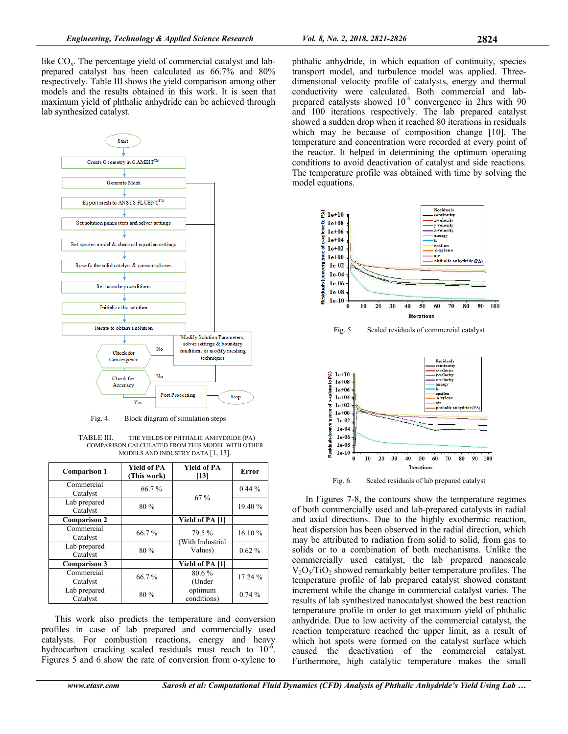like  $CO<sub>x</sub>$ . The percentage yield of commercial catalyst and labprepared catalyst has been calculated as 66.7% and 80% respectively. Table III shows the yield comparison among other models and the results obtained in this work. It is seen that maximum yield of phthalic anhydride can be achieved through lab synthesized catalyst.



Fig. 4. Block diagram of simulation steps

TABLE III. THE YIELDS OF PHTHALIC ANHYDRIDE (PA) COMPARISON CALCULATED FROM THIS MODEL WITH OTHER MODELS AND INDUSTRY DATA [1, 13].

| <b>Comparison 1</b>      | <b>Yield of PA</b><br>(This work) | <b>Yield of PA</b><br>[13] | Error    |
|--------------------------|-----------------------------------|----------------------------|----------|
| Commercial<br>Catalyst   | 66.7%                             | 67 %                       | $0.44\%$ |
| Lab prepared<br>Catalyst | 80 %                              |                            | 19.40 %  |
| <b>Comparison 2</b>      |                                   | Yield of PA [1]            |          |
| Commercial<br>Catalyst   | 66.7%                             | 79.5%<br>(With Industrial  | 16.10%   |
| Lab prepared<br>Catalyst | 80 %                              | Values)                    | $0.62\%$ |
| <b>Comparison 3</b>      |                                   | Yield of PA [1]            |          |
| Commercial<br>Catalyst   | 66.7%                             | $80.6\%$<br>(Under         | 17.24 %  |
| Lab prepared<br>Catalyst | 80 %                              | optimum<br>conditions)     | 0.74%    |

This work also predicts the temperature and conversion profiles in case of lab prepared and commercially used catalysts. For combustion reactions, energy and heavy hydrocarbon cracking scaled residuals must reach to  $10^{-6}$ . Figures 5 and 6 show the rate of conversion from o-xylene to phthalic anhydride, in which equation of continuity, species transport model, and turbulence model was applied. Threedimensional velocity profile of catalysts, energy and thermal conductivity were calculated. Both commercial and labprepared catalysts showed  $10^{-6}$  convergence in 2hrs with 90 and 100 iterations respectively. The lab prepared catalyst showed a sudden drop when it reached 80 iterations in residuals which may be because of composition change [10]. The temperature and concentration were recorded at every point of the reactor. It helped in determining the optimum operating conditions to avoid deactivation of catalyst and side reactions. The temperature profile was obtained with time by solving the model equations.



Fig. 6. Scaled residuals of lab prepared catalyst

In Figures 7-8, the contours show the temperature regimes of both commercially used and lab-prepared catalysts in radial and axial directions. Due to the highly exothermic reaction, heat dispersion has been observed in the radial direction, which may be attributed to radiation from solid to solid, from gas to solids or to a combination of both mechanisms. Unlike the commercially used catalyst, the lab prepared nanoscale  $V_2O_5/TiO_2$  showed remarkably better temperature profiles. The temperature profile of lab prepared catalyst showed constant increment while the change in commercial catalyst varies. The results of lab synthesized nanocatalyst showed the best reaction temperature profile in order to get maximum yield of phthalic anhydride. Due to low activity of the commercial catalyst, the reaction temperature reached the upper limit, as a result of which hot spots were formed on the catalyst surface which caused the deactivation of the commercial catalyst. Furthermore, high catalytic temperature makes the small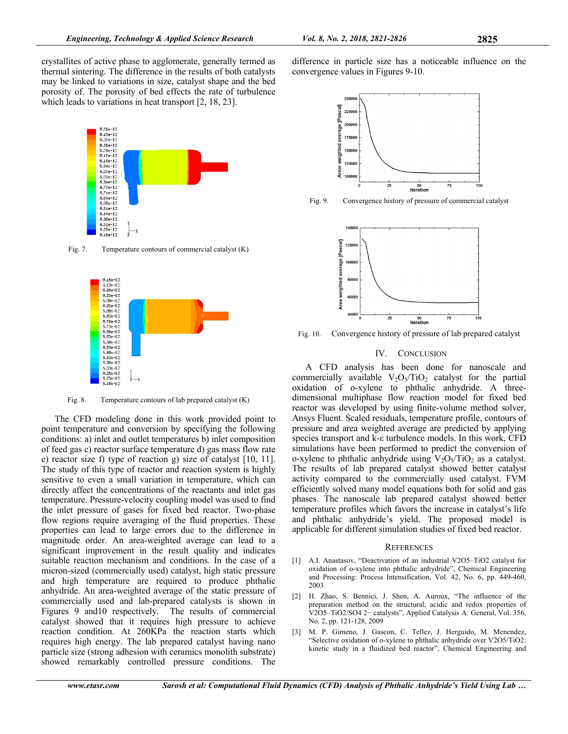crystallites of active phase to agglomerate, generally termed as thermal sintering. The difference in the results of both catalysts may be linked to variations in size, catalyst shape and the bed porosity of. The porosity of bed effects the rate of turbulence which leads to variations in heat transport [2, 18, 23].



Fig. 7. Temperature contours of commercial catalyst (K)



Fig. 8. Temperature contours of lab prepared catalyst (K)

The CFD modeling done in this work provided point to point temperature and conversion by specifying the following conditions: a) inlet and outlet temperatures b) inlet composition of feed gas c) reactor surface temperature d) gas mass flow rate e) reactor size f) type of reaction g) size of catalyst [10, 11]. The study of this type of reactor and reaction system is highly sensitive to even a small variation in temperature, which can directly affect the concentrations of the reactants and inlet gas temperature. Pressure-velocity coupling model was used to find the inlet pressure of gases for fixed bed reactor. Two-phase flow regions require averaging of the fluid properties. These properties can lead to large errors due to the difference in magnitude order. An area-weighted average can lead to a significant improvement in the result quality and indicates suitable reaction mechanism and conditions. In the case of a micron-sized (commercially used) catalyst, high static pressure and high temperature are required to produce phthalic anhydride. An area-weighted average of the static pressure of commercially used and lab-prepared catalysts is shown in Figures 9 and10 respectively. The results of commercial catalyst showed that it requires high pressure to achieve reaction condition. At 260KPa the reaction starts which requires high energy. The lab prepared catalyst having nano particle size (strong adhesion with ceramics monolith substrate) showed remarkably controlled pressure conditions. The

difference in particle size has a noticeable influence on the convergence values in Figures 9-10.



Fig. 9. Convergence history of pressure of commercial catalyst



Fig. 10. Convergence history of pressure of lab prepared catalyst

# IV. CONCLUSION

A CFD analysis has been done for nanoscale and commercially available  $V_2O_5/TiO_2$  catalyst for the partial oxidation of o-xylene to phthalic anhydride. A threedimensional multiphase flow reaction model for fixed bed reactor was developed by using finite-volume method solver, Ansys Fluent. Scaled residuals, temperature profile, contours of pressure and area weighted average are predicted by applying species transport and k-ε turbulence models. In this work, CFD simulations have been performed to predict the conversion of o-xylene to phthalic anhydride using  $V_2O_5/TiO_2$  as a catalyst. The results of lab prepared catalyst showed better catalyst activity compared to the commercially used catalyst. FVM efficiently solved many model equations both for solid and gas phases. The nanoscale lab prepared catalyst showed better temperature profiles which favors the increase in catalyst's life and phthalic anhydride's yield. The proposed model is applicable for different simulation studies of fixed bed reactor.

#### **REFERENCES**

- [1] A.I. Anastasov, "Deactivation of an industrial V2O5–TiO2 catalyst for oxidation of o-xylene into phthalic anhydride", Chemical Engineering and Processing: Process Intensification, Vol. 42, No. 6, pp. 449-460, 2003
- [2] H. Zhao, S. Bennici, J. Shen, A. Auroux, "The influence of the preparation method on the structural, acidic and redox properties of V2O5–TiO2/SO4 2− catalysts", Applied Catalysis A: General, Vol. 356, No. 2, pp. 121-128, 2009
- [3] M. P. Gimeno, J. Gascon, C. Tellez, J. Herguido, M. Menendez, "Selective oxidation of o-xylene to phthalic anhydride over V2O5/TiO2: kinetic study in a fluidized bed reactor", Chemical Engineering and